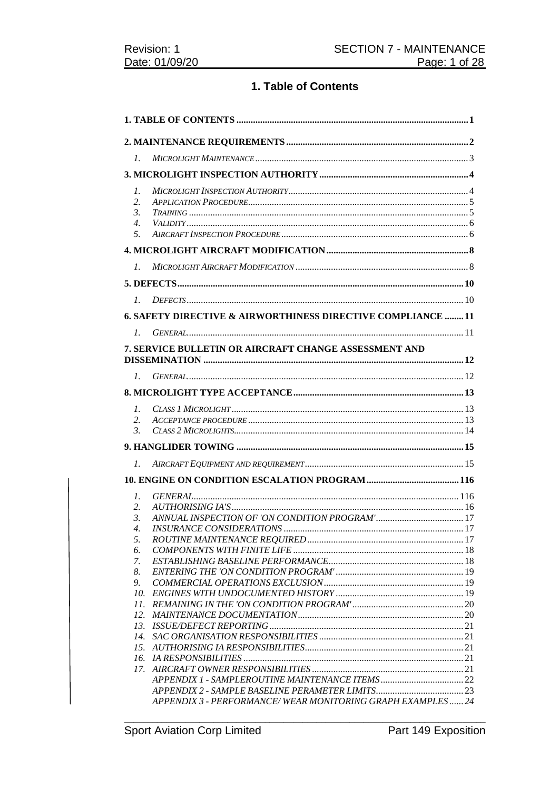# 1. Table of Contents

| 1.                                                                                                         |                                                              |  |  |  |  |  |  |
|------------------------------------------------------------------------------------------------------------|--------------------------------------------------------------|--|--|--|--|--|--|
|                                                                                                            |                                                              |  |  |  |  |  |  |
| 1.<br>2.<br>3.<br>$\mathcal{A}_{\cdot}$<br>5.                                                              |                                                              |  |  |  |  |  |  |
|                                                                                                            |                                                              |  |  |  |  |  |  |
|                                                                                                            |                                                              |  |  |  |  |  |  |
| $\mathcal{I}$ .                                                                                            |                                                              |  |  |  |  |  |  |
|                                                                                                            |                                                              |  |  |  |  |  |  |
| L                                                                                                          |                                                              |  |  |  |  |  |  |
|                                                                                                            | 6. SAFETY DIRECTIVE & AIRWORTHINESS DIRECTIVE COMPLIANCE  11 |  |  |  |  |  |  |
| $l_{\cdot}$                                                                                                |                                                              |  |  |  |  |  |  |
|                                                                                                            | 7. SERVICE BULLETIN OR AIRCRAFT CHANGE ASSESSMENT AND        |  |  |  |  |  |  |
|                                                                                                            |                                                              |  |  |  |  |  |  |
| $\mathcal{I}$ .                                                                                            |                                                              |  |  |  |  |  |  |
|                                                                                                            |                                                              |  |  |  |  |  |  |
| 1.<br>2.<br>$\mathfrak{Z}$ .                                                                               |                                                              |  |  |  |  |  |  |
|                                                                                                            |                                                              |  |  |  |  |  |  |
| 1.                                                                                                         |                                                              |  |  |  |  |  |  |
|                                                                                                            |                                                              |  |  |  |  |  |  |
| 1.<br>2.<br>3.<br>$\overline{4}$ .<br>5.<br>6.<br>7.<br>8.<br>9.<br>10.<br>12.<br>13.<br>14.<br>15.<br>16. |                                                              |  |  |  |  |  |  |
|                                                                                                            | APPENDIX 3 - PERFORMANCE/WEAR MONITORING GRAPH EXAMPLES 24   |  |  |  |  |  |  |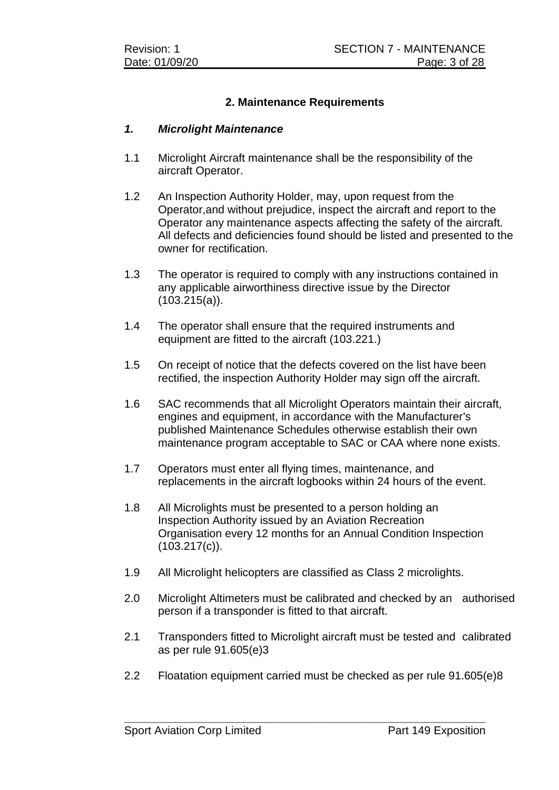## **2. Maintenance Requirements**

### *1. Microlight Maintenance*

- 1.1 Microlight Aircraft maintenance shall be the responsibility of the aircraft Operator.
- 1.2 An Inspection Authority Holder, may, upon request from the Operator,and without prejudice, inspect the aircraft and report to the Operator any maintenance aspects affecting the safety of the aircraft. All defects and deficiencies found should be listed and presented to the owner for rectification.
- 1.3 The operator is required to comply with any instructions contained in any applicable airworthiness directive issue by the Director  $(103.215(a))$ .
- 1.4 The operator shall ensure that the required instruments and equipment are fitted to the aircraft (103.221.)
- 1.5 On receipt of notice that the defects covered on the list have been rectified, the inspection Authority Holder may sign off the aircraft.
- 1.6 SAC recommends that all Microlight Operators maintain their aircraft, engines and equipment, in accordance with the Manufacturer's published Maintenance Schedules otherwise establish their own maintenance program acceptable to SAC or CAA where none exists.
- 1.7 Operators must enter all flying times, maintenance, and replacements in the aircraft logbooks within 24 hours of the event.
- 1.8 All Microlights must be presented to a person holding an Inspection Authority issued by an Aviation Recreation Organisation every 12 months for an Annual Condition Inspection (103.217(c)).
- 1.9 All Microlight helicopters are classified as Class 2 microlights.
- 2.0 Microlight Altimeters must be calibrated and checked by an authorised person if a transponder is fitted to that aircraft.
- 2.1 Transponders fitted to Microlight aircraft must be tested and calibrated as per rule 91.605(e)3
- 2.2 Floatation equipment carried must be checked as per rule 91.605(e)8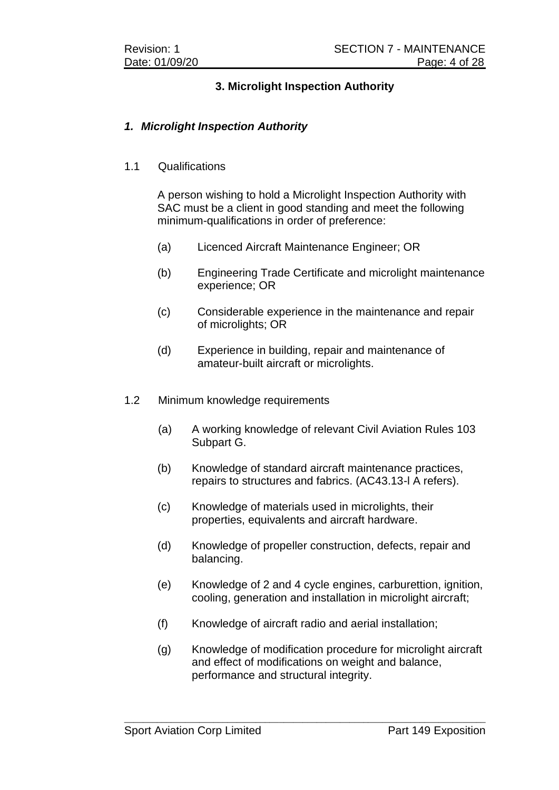# **3. Microlight Inspection Authority**

## *1. Microlight Inspection Authority*

1.1 Qualifications

A person wishing to hold a Microlight Inspection Authority with SAC must be a client in good standing and meet the following minimum-qualifications in order of preference:

- (a) Licenced Aircraft Maintenance Engineer; OR
- (b) Engineering Trade Certificate and microlight maintenance experience; OR
- (c) Considerable experience in the maintenance and repair of microlights; OR
- (d) Experience in building, repair and maintenance of amateur-built aircraft or microlights.
- 1.2 Minimum knowledge requirements
	- (a) A working knowledge of relevant Civil Aviation Rules 103 Subpart G.
	- (b) Knowledge of standard aircraft maintenance practices, repairs to structures and fabrics. (AC43.13-l A refers).
	- (c) Knowledge of materials used in microlights, their properties, equivalents and aircraft hardware.
	- (d) Knowledge of propeller construction, defects, repair and balancing.
	- (e) Knowledge of 2 and 4 cycle engines, carburettion, ignition, cooling, generation and installation in microlight aircraft;
	- (f) Knowledge of aircraft radio and aerial installation;
	- (g) Knowledge of modification procedure for microlight aircraft and effect of modifications on weight and balance, performance and structural integrity.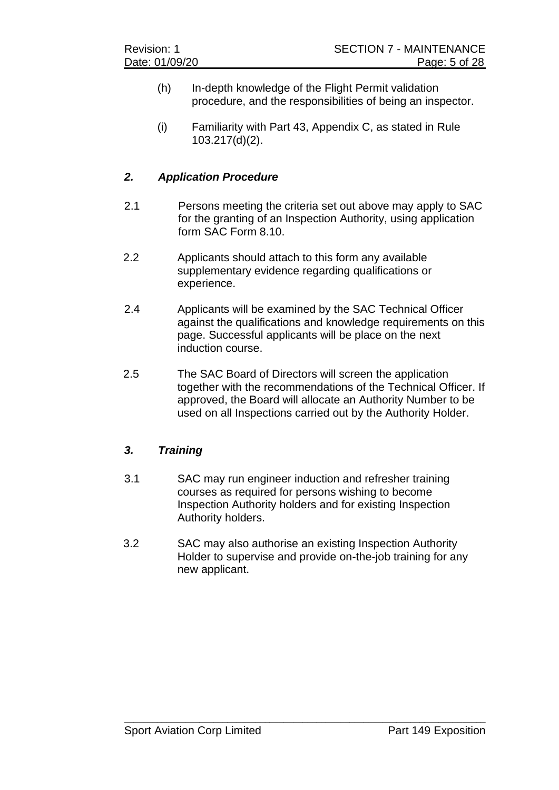- (h) In-depth knowledge of the Flight Permit validation procedure, and the responsibilities of being an inspector.
- (i) Familiarity with Part 43, Appendix C, as stated in Rule 103.217(d)(2).

# *2. Application Procedure*

- 2.1 Persons meeting the criteria set out above may apply to SAC for the granting of an Inspection Authority, using application form SAC Form 8.10.
- 2.2 Applicants should attach to this form any available supplementary evidence regarding qualifications or experience.
- 2.4 Applicants will be examined by the SAC Technical Officer against the qualifications and knowledge requirements on this page. Successful applicants will be place on the next induction course.
- 2.5 The SAC Board of Directors will screen the application together with the recommendations of the Technical Officer. If approved, the Board will allocate an Authority Number to be used on all Inspections carried out by the Authority Holder.

## *3. Training*

- 3.1 SAC may run engineer induction and refresher training courses as required for persons wishing to become Inspection Authority holders and for existing Inspection Authority holders.
- 3.2 SAC may also authorise an existing Inspection Authority Holder to supervise and provide on-the-job training for any new applicant.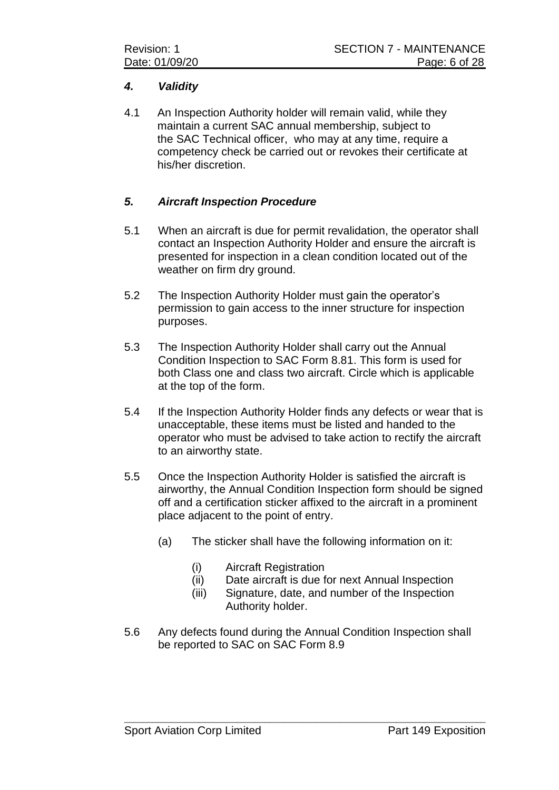## *4. Validity*

4.1 An Inspection Authority holder will remain valid, while they maintain a current SAC annual membership, subject to the SAC Technical officer, who may at any time, require a competency check be carried out or revokes their certificate at his/her discretion.

## *5. Aircraft Inspection Procedure*

- 5.1 When an aircraft is due for permit revalidation, the operator shall contact an Inspection Authority Holder and ensure the aircraft is presented for inspection in a clean condition located out of the weather on firm dry ground.
- 5.2 The Inspection Authority Holder must gain the operator's permission to gain access to the inner structure for inspection purposes.
- 5.3 The Inspection Authority Holder shall carry out the Annual Condition Inspection to SAC Form 8.81. This form is used for both Class one and class two aircraft. Circle which is applicable at the top of the form.
- 5.4 If the Inspection Authority Holder finds any defects or wear that is unacceptable, these items must be listed and handed to the operator who must be advised to take action to rectify the aircraft to an airworthy state.
- 5.5 Once the Inspection Authority Holder is satisfied the aircraft is airworthy, the Annual Condition Inspection form should be signed off and a certification sticker affixed to the aircraft in a prominent place adjacent to the point of entry.
	- (a) The sticker shall have the following information on it:
		- (i) Aircraft Registration
		- (ii) Date aircraft is due for next Annual Inspection
		- (iii) Signature, date, and number of the Inspection Authority holder.
- 5.6 Any defects found during the Annual Condition Inspection shall be reported to SAC on SAC Form 8.9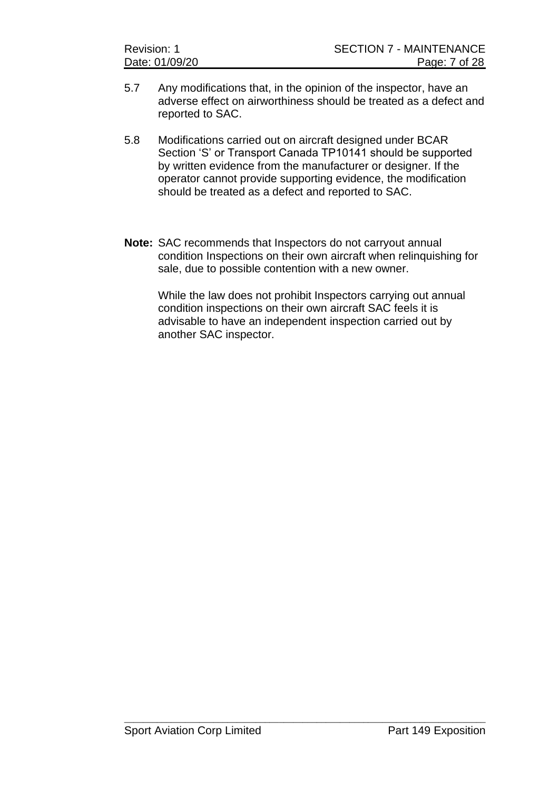| Revision: 1    |  |  |  |  |  |
|----------------|--|--|--|--|--|
| Date: 01/09/20 |  |  |  |  |  |

- 5.7 Any modifications that, in the opinion of the inspector, have an adverse effect on airworthiness should be treated as a defect and reported to SAC.
- 5.8 Modifications carried out on aircraft designed under BCAR Section 'S' or Transport Canada TP10141 should be supported by written evidence from the manufacturer or designer. If the operator cannot provide supporting evidence, the modification should be treated as a defect and reported to SAC.
- **Note:** SAC recommends that Inspectors do not carryout annual condition Inspections on their own aircraft when relinquishing for sale, due to possible contention with a new owner.

While the law does not prohibit Inspectors carrying out annual condition inspections on their own aircraft SAC feels it is advisable to have an independent inspection carried out by another SAC inspector.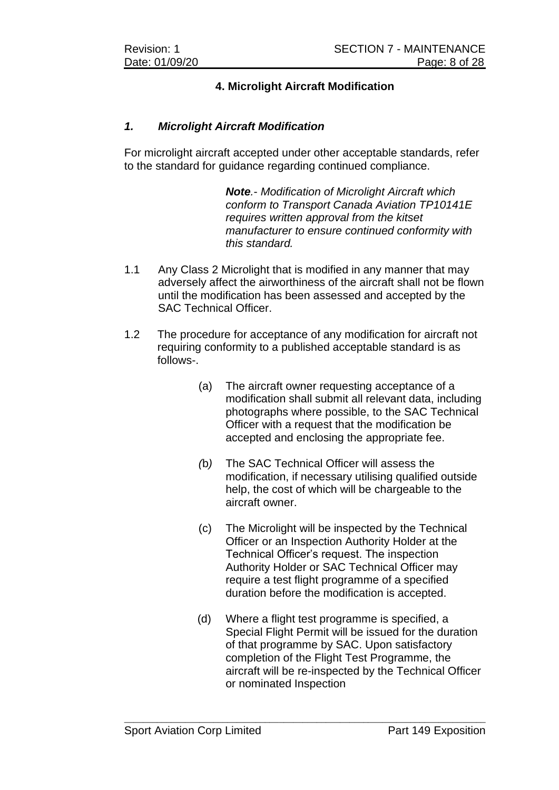# **4. Microlight Aircraft Modification**

## *1. Microlight Aircraft Modification*

For microlight aircraft accepted under other acceptable standards, refer to the standard for guidance regarding continued compliance.

> *Note.*- *Modification of Microlight Aircraft which conform to Transport Canada Aviation TP10141E requires written approval from the kitset manufacturer to ensure continued conformity with this standard.*

- 1.1 Any Class 2 Microlight that is modified in any manner that may adversely affect the airworthiness of the aircraft shall not be flown until the modification has been assessed and accepted by the SAC Technical Officer.
- 1.2 The procedure for acceptance of any modification for aircraft not requiring conformity to a published acceptable standard is as follows-.
	- (a) The aircraft owner requesting acceptance of a modification shall submit all relevant data, including photographs where possible, to the SAC Technical Officer with a request that the modification be accepted and enclosing the appropriate fee.
	- *(*b*)* The SAC Technical Officer will assess the modification, if necessary utilising qualified outside help, the cost of which will be chargeable to the aircraft owner.
	- (c) The Microlight will be inspected by the Technical Officer or an Inspection Authority Holder at the Technical Officer's request. The inspection Authority Holder or SAC Technical Officer may require a test flight programme of a specified duration before the modification is accepted.
	- (d) Where a flight test programme is specified, a Special Flight Permit will be issued for the duration of that programme by SAC. Upon satisfactory completion of the Flight Test Programme, the aircraft will be re-inspected by the Technical Officer or nominated Inspection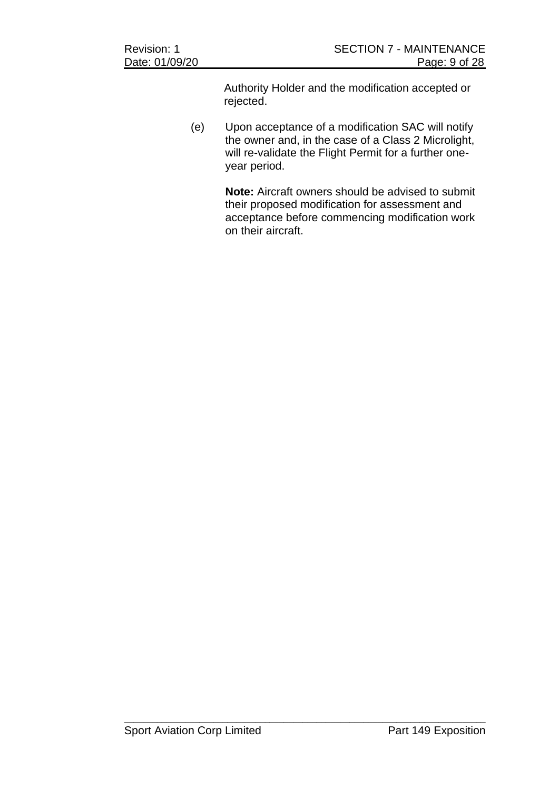Authority Holder and the modification accepted or rejected.

(e) Upon acceptance of a modification SAC will notify the owner and, in the case of a Class 2 Microlight, will re-validate the Flight Permit for a further oneyear period.

> **Note:** Aircraft owners should be advised to submit their proposed modification for assessment and acceptance before commencing modification work on their aircraft.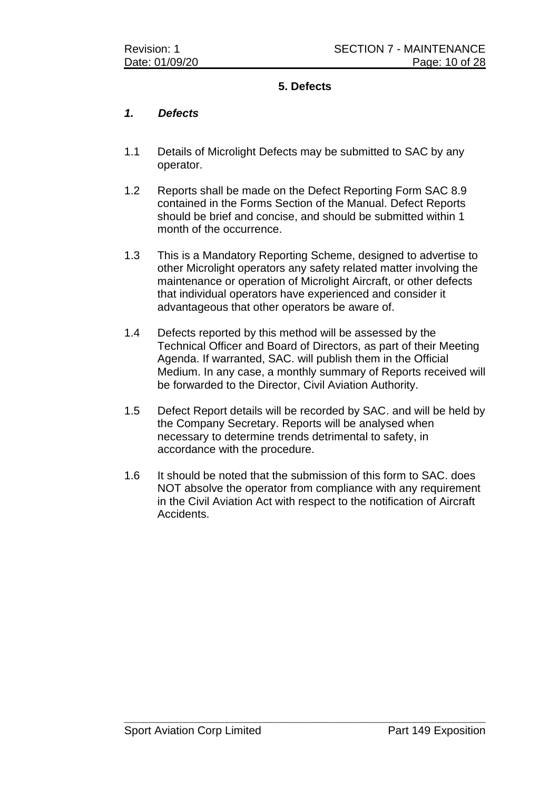## **5. Defects**

## *1. Defects*

- 1.1 Details of Microlight Defects may be submitted to SAC by any operator.
- 1.2 Reports shall be made on the Defect Reporting Form SAC 8.9 contained in the Forms Section of the Manual. Defect Reports should be brief and concise, and should be submitted within 1 month of the occurrence.
- 1.3 This is a Mandatory Reporting Scheme, designed to advertise to other Microlight operators any safety related matter involving the maintenance or operation of Microlight Aircraft, or other defects that individual operators have experienced and consider it advantageous that other operators be aware of.
- 1.4 Defects reported by this method will be assessed by the Technical Officer and Board of Directors, as part of their Meeting Agenda. If warranted, SAC. will publish them in the Official Medium. In any case, a monthly summary of Reports received will be forwarded to the Director, Civil Aviation Authority.
- 1.5 Defect Report details will be recorded by SAC. and will be held by the Company Secretary. Reports will be analysed when necessary to determine trends detrimental to safety, in accordance with the procedure.
- 1.6 It should be noted that the submission of this form to SAC. does NOT absolve the operator from compliance with any requirement in the Civil Aviation Act with respect to the notification of Aircraft Accidents.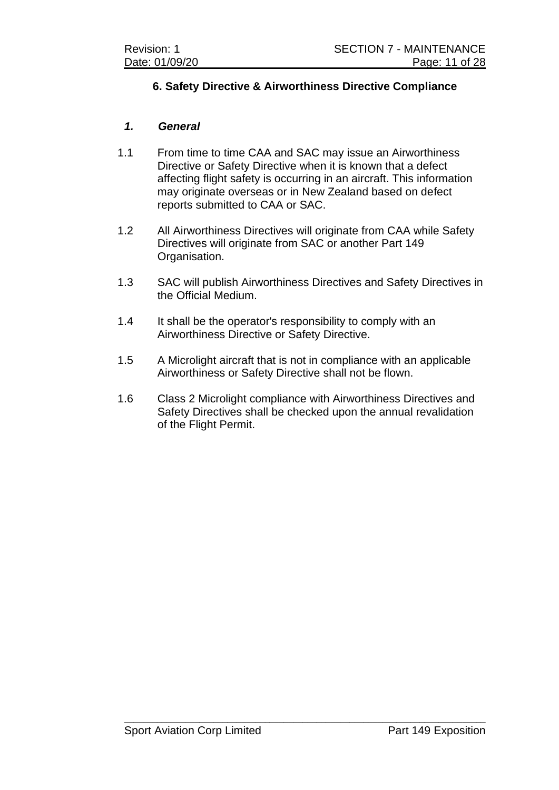# **6. Safety Directive & Airworthiness Directive Compliance**

## *1. General*

- 1.1 From time to time CAA and SAC may issue an Airworthiness Directive or Safety Directive when it is known that a defect affecting flight safety is occurring in an aircraft. This information may originate overseas or in New Zealand based on defect reports submitted to CAA or SAC.
- 1.2 All Airworthiness Directives will originate from CAA while Safety Directives will originate from SAC or another Part 149 Organisation.
- 1.3 SAC will publish Airworthiness Directives and Safety Directives in the Official Medium.
- 1.4 It shall be the operator's responsibility to comply with an Airworthiness Directive or Safety Directive.
- 1.5 A Microlight aircraft that is not in compliance with an applicable Airworthiness or Safety Directive shall not be flown.
- 1.6 Class 2 Microlight compliance with Airworthiness Directives and Safety Directives shall be checked upon the annual revalidation of the Flight Permit.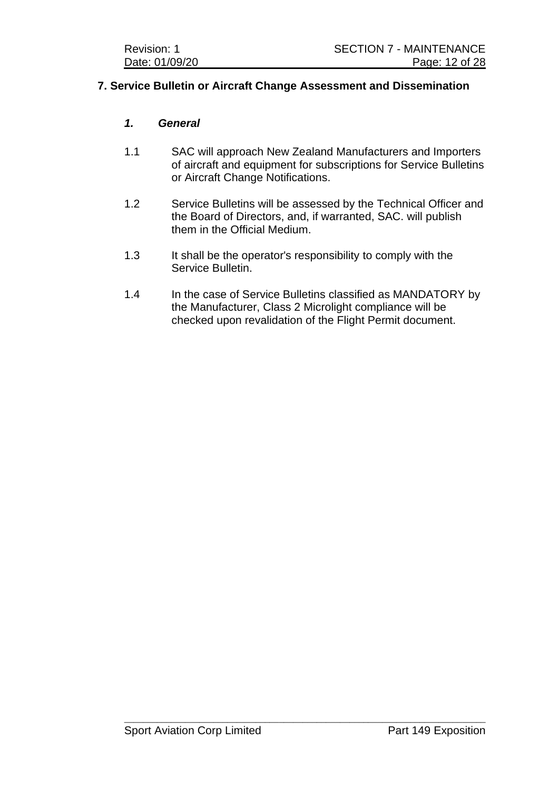### **7. Service Bulletin or Aircraft Change Assessment and Dissemination**

### *1. General*

- 1.1 SAC will approach New Zealand Manufacturers and Importers of aircraft and equipment for subscriptions for Service Bulletins or Aircraft Change Notifications.
- 1.2 Service Bulletins will be assessed by the Technical Officer and the Board of Directors, and, if warranted, SAC. will publish them in the Official Medium.
- 1.3 It shall be the operator's responsibility to comply with the Service Bulletin.
- 1.4 In the case of Service Bulletins classified as MANDATORY by the Manufacturer, Class 2 Microlight compliance will be checked upon revalidation of the Flight Permit document.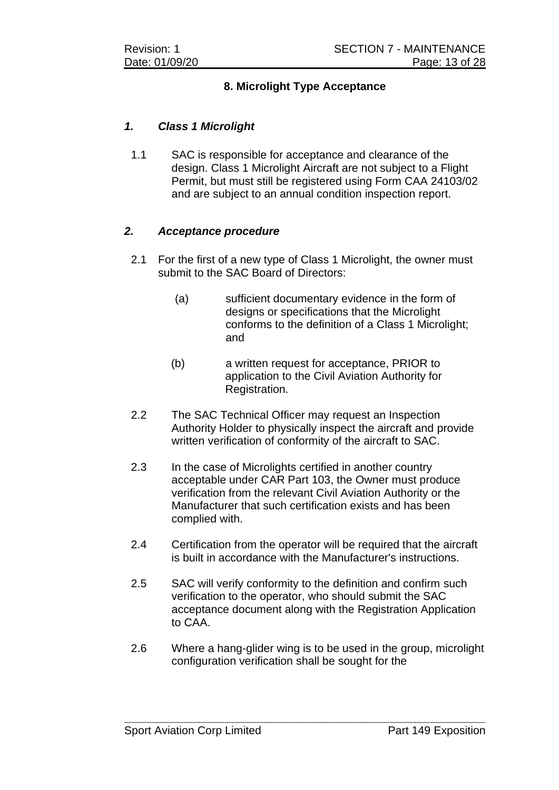# **8. Microlight Type Acceptance**

## *1. Class 1 Microlight*

1.1 SAC is responsible for acceptance and clearance of the design. Class 1 Microlight Aircraft are not subject to a Flight Permit, but must still be registered using Form CAA 24103/02 and are subject to an annual condition inspection report.

#### *2. Acceptance procedure*

- 2.1 For the first of a new type of Class 1 Microlight, the owner must submit to the SAC Board of Directors:
	- (a) sufficient documentary evidence in the form of designs or specifications that the Microlight conforms to the definition of a Class 1 Microlight; and
	- (b) a written request for acceptance, PRIOR to application to the Civil Aviation Authority for Registration.
- 2.2 The SAC Technical Officer may request an Inspection Authority Holder to physically inspect the aircraft and provide written verification of conformity of the aircraft to SAC.
- 2.3 In the case of Microlights certified in another country acceptable under CAR Part 103, the Owner must produce verification from the relevant Civil Aviation Authority or the Manufacturer that such certification exists and has been complied with.
- 2.4 Certification from the operator will be required that the aircraft is built in accordance with the Manufacturer's instructions.
- 2.5 SAC will verify conformity to the definition and confirm such verification to the operator, who should submit the SAC acceptance document along with the Registration Application to CAA.
- 2.6 Where a hang-glider wing is to be used in the group, microlight configuration verification shall be sought for the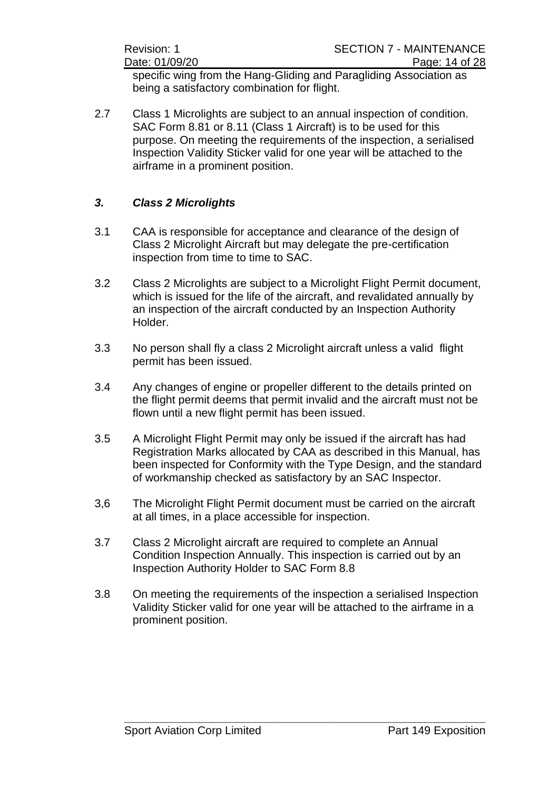specific wing from the Hang-Gliding and Paragliding Association as being a satisfactory combination for flight.

2.7 Class 1 Microlights are subject to an annual inspection of condition. SAC Form 8.81 or 8.11 (Class 1 Aircraft) is to be used for this purpose. On meeting the requirements of the inspection, a serialised Inspection Validity Sticker valid for one year will be attached to the airframe in a prominent position.

# *3. Class 2 Microlights*

- 3.1 CAA is responsible for acceptance and clearance of the design of Class 2 Microlight Aircraft but may delegate the pre-certification inspection from time to time to SAC.
- 3.2 Class 2 Microlights are subject to a Microlight Flight Permit document, which is issued for the life of the aircraft, and revalidated annually by an inspection of the aircraft conducted by an Inspection Authority Holder.
- 3.3 No person shall fly a class 2 Microlight aircraft unless a valid flight permit has been issued.
- 3.4 Any changes of engine or propeller different to the details printed on the flight permit deems that permit invalid and the aircraft must not be flown until a new flight permit has been issued.
- 3.5 A Microlight Flight Permit may only be issued if the aircraft has had Registration Marks allocated by CAA as described in this Manual, has been inspected for Conformity with the Type Design, and the standard of workmanship checked as satisfactory by an SAC Inspector.
- 3,6 The Microlight Flight Permit document must be carried on the aircraft at all times, in a place accessible for inspection.
- 3.7 Class 2 Microlight aircraft are required to complete an Annual Condition Inspection Annually. This inspection is carried out by an Inspection Authority Holder to SAC Form 8.8
- 3.8 On meeting the requirements of the inspection a serialised Inspection Validity Sticker valid for one year will be attached to the airframe in a prominent position.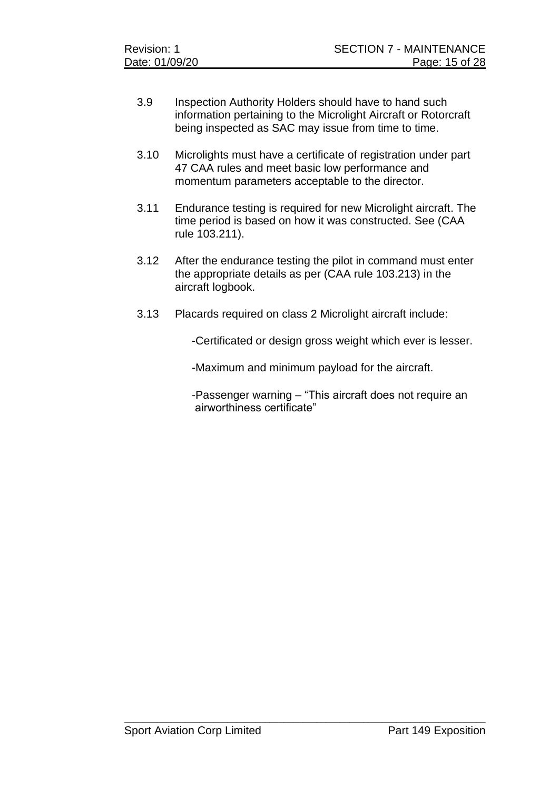- 3.9 Inspection Authority Holders should have to hand such information pertaining to the Microlight Aircraft or Rotorcraft being inspected as SAC may issue from time to time.
- 3.10 Microlights must have a certificate of registration under part 47 CAA rules and meet basic low performance and momentum parameters acceptable to the director.
- 3.11 Endurance testing is required for new Microlight aircraft. The time period is based on how it was constructed. See (CAA rule 103.211).
- 3.12 After the endurance testing the pilot in command must enter the appropriate details as per (CAA rule 103.213) in the aircraft logbook.
- 3.13 Placards required on class 2 Microlight aircraft include:

-Certificated or design gross weight which ever is lesser.

-Maximum and minimum payload for the aircraft.

-Passenger warning – "This aircraft does not require an airworthiness certificate"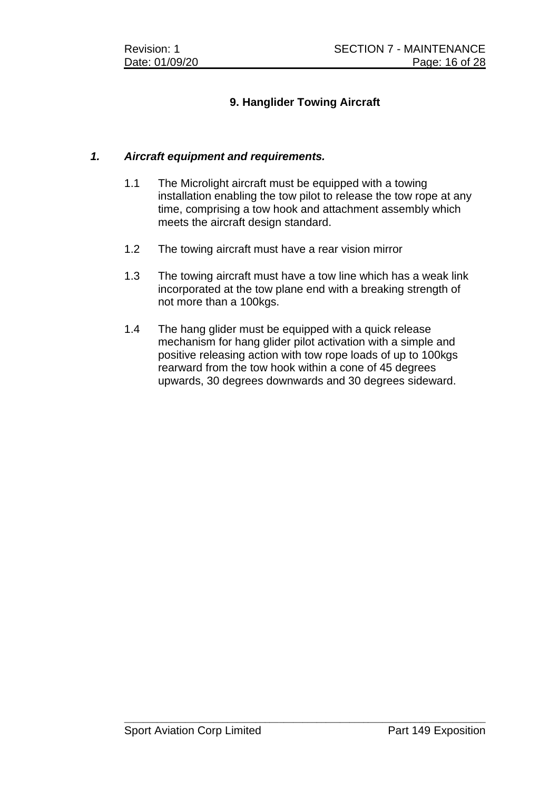# **9. Hanglider Towing Aircraft**

### *1. Aircraft equipment and requirements.*

- 1.1 The Microlight aircraft must be equipped with a towing installation enabling the tow pilot to release the tow rope at any time, comprising a tow hook and attachment assembly which meets the aircraft design standard.
- 1.2 The towing aircraft must have a rear vision mirror
- 1.3 The towing aircraft must have a tow line which has a weak link incorporated at the tow plane end with a breaking strength of not more than a 100kgs.
- 1.4 The hang glider must be equipped with a quick release mechanism for hang glider pilot activation with a simple and positive releasing action with tow rope loads of up to 100kgs rearward from the tow hook within a cone of 45 degrees upwards, 30 degrees downwards and 30 degrees sideward.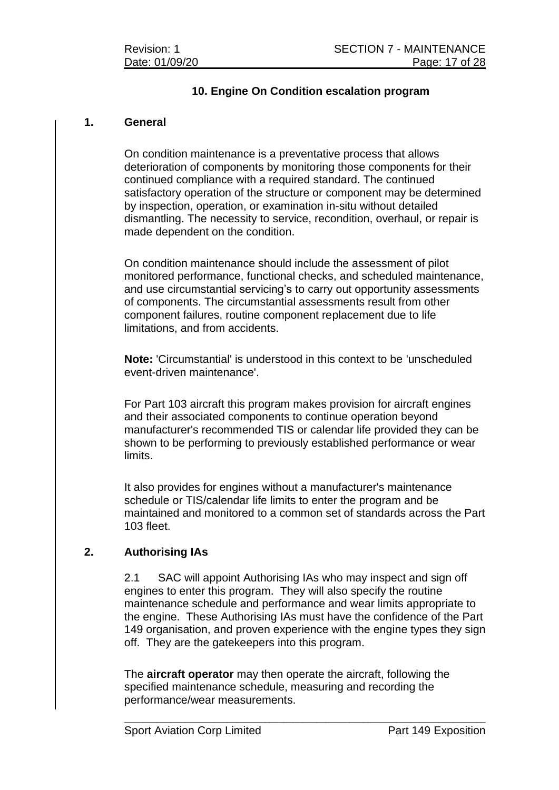## **10. Engine On Condition escalation program**

### **1. General**

On condition maintenance is a preventative process that allows deterioration of components by monitoring those components for their continued compliance with a required standard. The continued satisfactory operation of the structure or component may be determined by inspection, operation, or examination in-situ without detailed dismantling. The necessity to service, recondition, overhaul, or repair is made dependent on the condition.

On condition maintenance should include the assessment of pilot monitored performance, functional checks, and scheduled maintenance, and use circumstantial servicing's to carry out opportunity assessments of components. The circumstantial assessments result from other component failures, routine component replacement due to life limitations, and from accidents.

**Note:** 'Circumstantial' is understood in this context to be 'unscheduled event-driven maintenance'.

For Part 103 aircraft this program makes provision for aircraft engines and their associated components to continue operation beyond manufacturer's recommended TIS or calendar life provided they can be shown to be performing to previously established performance or wear limits.

It also provides for engines without a manufacturer's maintenance schedule or TIS/calendar life limits to enter the program and be maintained and monitored to a common set of standards across the Part 103 fleet.

## **2. Authorising IAs**

2.1 SAC will appoint Authorising IAs who may inspect and sign off engines to enter this program. They will also specify the routine maintenance schedule and performance and wear limits appropriate to the engine. These Authorising IAs must have the confidence of the Part 149 organisation, and proven experience with the engine types they sign off. They are the gatekeepers into this program.

The **aircraft operator** may then operate the aircraft, following the specified maintenance schedule, measuring and recording the performance/wear measurements.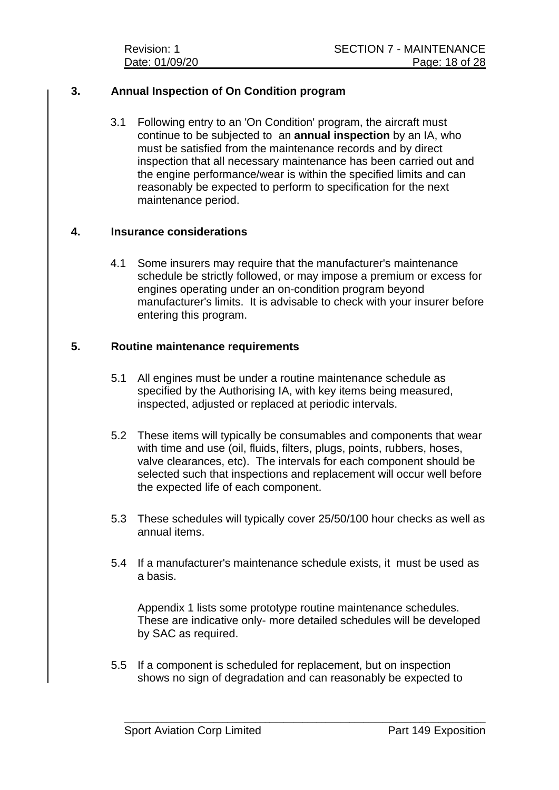## **3. Annual Inspection of On Condition program**

3.1 Following entry to an 'On Condition' program, the aircraft must continue to be subjected to an **annual inspection** by an IA, who must be satisfied from the maintenance records and by direct inspection that all necessary maintenance has been carried out and the engine performance/wear is within the specified limits and can reasonably be expected to perform to specification for the next maintenance period.

#### **4. Insurance considerations**

4.1 Some insurers may require that the manufacturer's maintenance schedule be strictly followed, or may impose a premium or excess for engines operating under an on-condition program beyond manufacturer's limits. It is advisable to check with your insurer before entering this program.

#### **5. Routine maintenance requirements**

- 5.1 All engines must be under a routine maintenance schedule as specified by the Authorising IA, with key items being measured, inspected, adjusted or replaced at periodic intervals.
- 5.2 These items will typically be consumables and components that wear with time and use (oil, fluids, filters, plugs, points, rubbers, hoses, valve clearances, etc). The intervals for each component should be selected such that inspections and replacement will occur well before the expected life of each component.
- 5.3 These schedules will typically cover 25/50/100 hour checks as well as annual items.
- 5.4 If a manufacturer's maintenance schedule exists, it must be used as a basis.

Appendix 1 lists some prototype routine maintenance schedules. These are indicative only- more detailed schedules will be developed by SAC as required.

5.5 If a component is scheduled for replacement, but on inspection shows no sign of degradation and can reasonably be expected to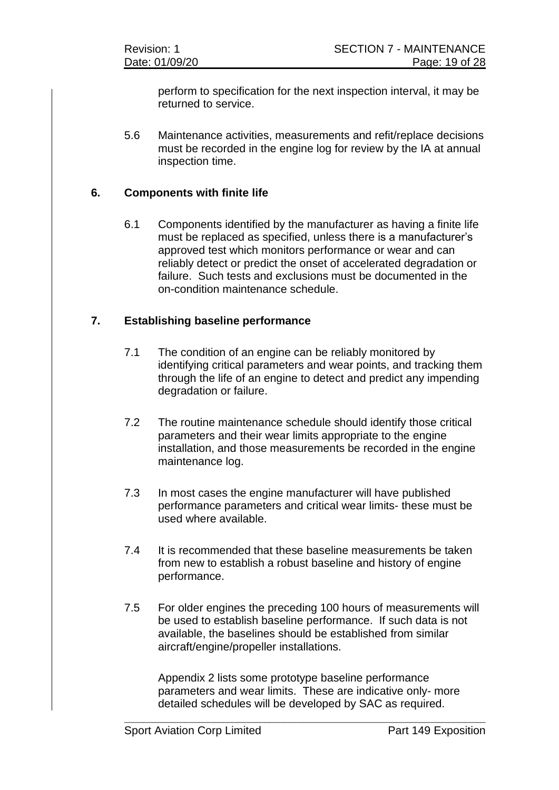perform to specification for the next inspection interval, it may be returned to service.

5.6 Maintenance activities, measurements and refit/replace decisions must be recorded in the engine log for review by the IA at annual inspection time.

## **6. Components with finite life**

6.1 Components identified by the manufacturer as having a finite life must be replaced as specified, unless there is a manufacturer's approved test which monitors performance or wear and can reliably detect or predict the onset of accelerated degradation or failure. Such tests and exclusions must be documented in the on-condition maintenance schedule.

# **7. Establishing baseline performance**

- 7.1 The condition of an engine can be reliably monitored by identifying critical parameters and wear points, and tracking them through the life of an engine to detect and predict any impending degradation or failure.
- 7.2 The routine maintenance schedule should identify those critical parameters and their wear limits appropriate to the engine installation, and those measurements be recorded in the engine maintenance log.
- 7.3 In most cases the engine manufacturer will have published performance parameters and critical wear limits- these must be used where available.
- 7.4 It is recommended that these baseline measurements be taken from new to establish a robust baseline and history of engine performance.
- 7.5 For older engines the preceding 100 hours of measurements will be used to establish baseline performance. If such data is not available, the baselines should be established from similar aircraft/engine/propeller installations.

Appendix 2 lists some prototype baseline performance parameters and wear limits. These are indicative only- more detailed schedules will be developed by SAC as required.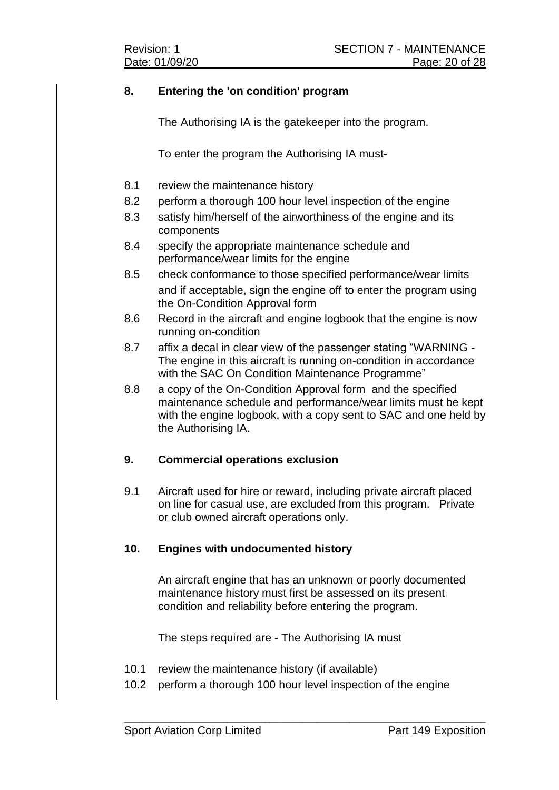## **8. Entering the 'on condition' program**

The Authorising IA is the gatekeeper into the program.

To enter the program the Authorising IA must-

- 8.1 review the maintenance history
- 8.2 perform a thorough 100 hour level inspection of the engine
- 8.3 satisfy him/herself of the airworthiness of the engine and its components
- 8.4 specify the appropriate maintenance schedule and performance/wear limits for the engine
- 8.5 check conformance to those specified performance/wear limits and if acceptable, sign the engine off to enter the program using the On-Condition Approval form
- 8.6 Record in the aircraft and engine logbook that the engine is now running on-condition
- 8.7 affix a decal in clear view of the passenger stating "WARNING The engine in this aircraft is running on-condition in accordance with the SAC On Condition Maintenance Programme"
- 8.8 a copy of the On-Condition Approval form and the specified maintenance schedule and performance/wear limits must be kept with the engine logbook, with a copy sent to SAC and one held by the Authorising IA.

## **9. Commercial operations exclusion**

9.1 Aircraft used for hire or reward, including private aircraft placed on line for casual use, are excluded from this program. Private or club owned aircraft operations only.

#### **10. Engines with undocumented history**

An aircraft engine that has an unknown or poorly documented maintenance history must first be assessed on its present condition and reliability before entering the program.

The steps required are - The Authorising IA must

- 10.1 review the maintenance history (if available)
- 10.2 perform a thorough 100 hour level inspection of the engine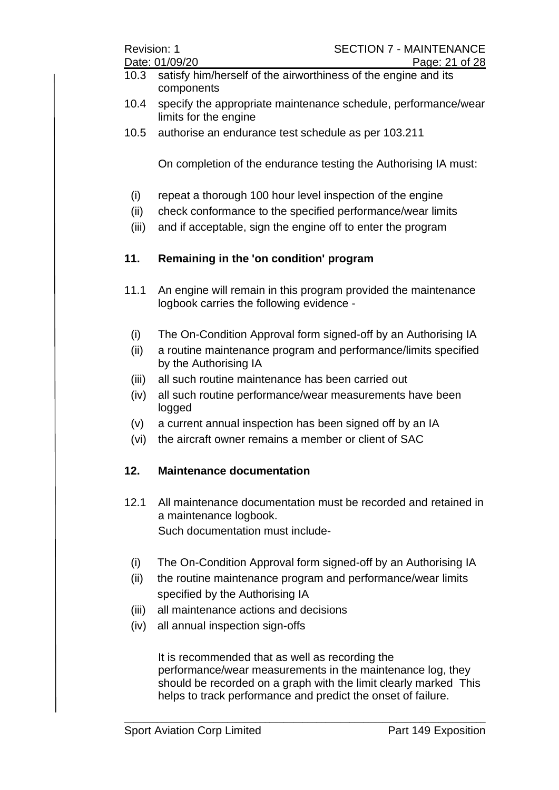- 10.3 satisfy him/herself of the airworthiness of the engine and its components
- 10.4 specify the appropriate maintenance schedule, performance/wear limits for the engine
- 10.5 authorise an endurance test schedule as per 103.211

On completion of the endurance testing the Authorising IA must:

- (i) repeat a thorough 100 hour level inspection of the engine
- (ii) check conformance to the specified performance/wear limits
- (iii) and if acceptable, sign the engine off to enter the program

# **11. Remaining in the 'on condition' program**

- 11.1 An engine will remain in this program provided the maintenance logbook carries the following evidence -
	- (i) The On-Condition Approval form signed-off by an Authorising IA
	- (ii) a routine maintenance program and performance/limits specified by the Authorising IA
	- (iii) all such routine maintenance has been carried out
	- (iv) all such routine performance/wear measurements have been logged
- (v) a current annual inspection has been signed off by an IA
- (vi) the aircraft owner remains a member or client of SAC

# **12. Maintenance documentation**

- 12.1 All maintenance documentation must be recorded and retained in a maintenance logbook. Such documentation must include-
	- (i) The On-Condition Approval form signed-off by an Authorising IA
	- (ii) the routine maintenance program and performance/wear limits specified by the Authorising IA
	- (iii) all maintenance actions and decisions
	- (iv) all annual inspection sign-offs

It is recommended that as well as recording the performance/wear measurements in the maintenance log, they should be recorded on a graph with the limit clearly marked This helps to track performance and predict the onset of failure.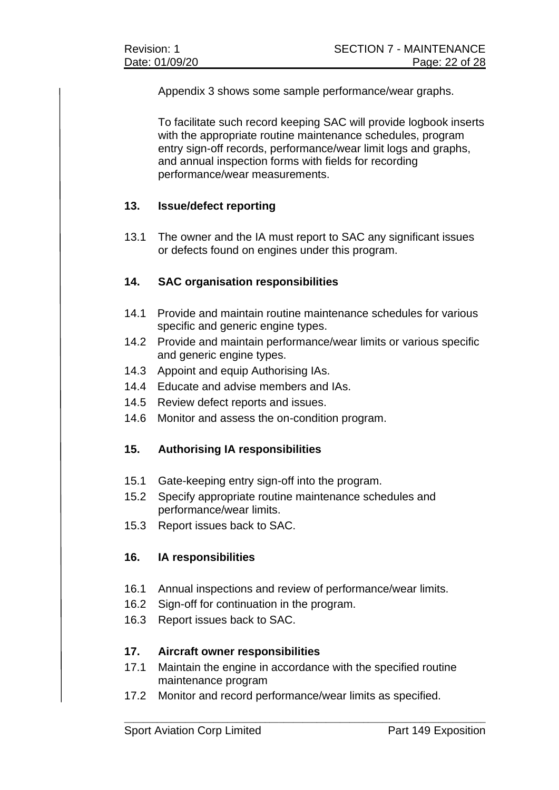Appendix 3 shows some sample performance/wear graphs.

To facilitate such record keeping SAC will provide logbook inserts with the appropriate routine maintenance schedules, program entry sign-off records, performance/wear limit logs and graphs, and annual inspection forms with fields for recording performance/wear measurements.

# **13. Issue/defect reporting**

13.1 The owner and the IA must report to SAC any significant issues or defects found on engines under this program.

## **14. SAC organisation responsibilities**

- 14.1 Provide and maintain routine maintenance schedules for various specific and generic engine types.
- 14.2 Provide and maintain performance/wear limits or various specific and generic engine types.
- 14.3 Appoint and equip Authorising IAs.
- 14.4 Educate and advise members and IAs.
- 14.5 Review defect reports and issues.
- 14.6 Monitor and assess the on-condition program.

## **15. Authorising IA responsibilities**

- 15.1 Gate-keeping entry sign-off into the program.
- 15.2 Specify appropriate routine maintenance schedules and performance/wear limits.
- 15.3 Report issues back to SAC.

# **16. IA responsibilities**

- 16.1 Annual inspections and review of performance/wear limits.
- 16.2 Sign-off for continuation in the program.
- 16.3 Report issues back to SAC.

## **17. Aircraft owner responsibilities**

- 17.1 Maintain the engine in accordance with the specified routine maintenance program
- 17.2 Monitor and record performance/wear limits as specified.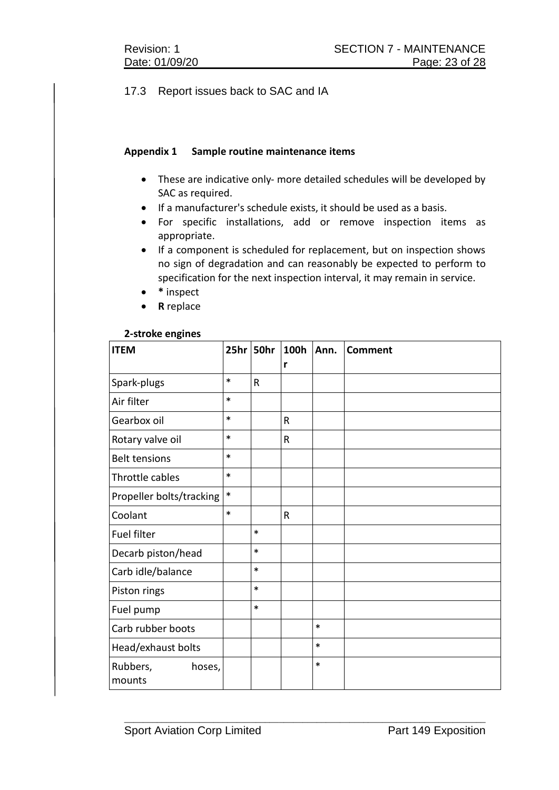17.3 Report issues back to SAC and IA

#### **Appendix 1 Sample routine maintenance items**

- These are indicative only- more detailed schedules will be developed by SAC as required.
- If a manufacturer's schedule exists, it should be used as a basis.
- For specific installations, add or remove inspection items as appropriate.
- If a component is scheduled for replacement, but on inspection shows no sign of degradation and can reasonably be expected to perform to specification for the next inspection interval, it may remain in service.
- **\*** inspect
- **R** replace

#### **2-stroke engines**

| <b>ITEM</b>                  | 25hr   | 50hr         | 100h<br>r | Ann.   | <b>Comment</b> |
|------------------------------|--------|--------------|-----------|--------|----------------|
| Spark-plugs                  | $\ast$ | $\mathsf{R}$ |           |        |                |
| Air filter                   | *      |              |           |        |                |
| Gearbox oil                  | *      |              | R         |        |                |
| Rotary valve oil             | *      |              | R         |        |                |
| <b>Belt tensions</b>         | *      |              |           |        |                |
| Throttle cables              | *      |              |           |        |                |
| Propeller bolts/tracking     | $\ast$ |              |           |        |                |
| Coolant                      | *      |              | R         |        |                |
| Fuel filter                  |        | $\ast$       |           |        |                |
| Decarb piston/head           |        | $\ast$       |           |        |                |
| Carb idle/balance            |        | $\ast$       |           |        |                |
| Piston rings                 |        | $\ast$       |           |        |                |
| Fuel pump                    |        | $\ast$       |           |        |                |
| Carb rubber boots            |        |              |           | $\ast$ |                |
| Head/exhaust bolts           |        |              |           | $\ast$ |                |
| Rubbers,<br>hoses,<br>mounts |        |              |           | $\ast$ |                |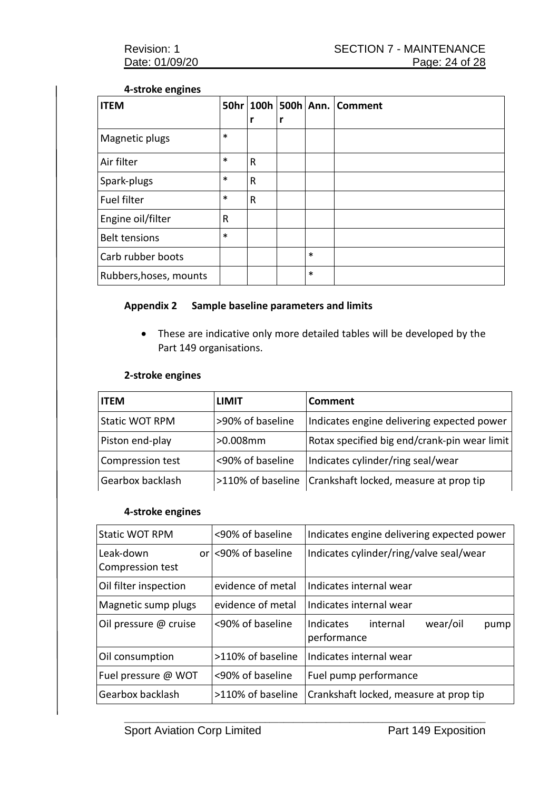#### **4-stroke engines**

| <b>ITEM</b>            | 50hr   |   |   |        | 100h   500h   Ann.   Comment |
|------------------------|--------|---|---|--------|------------------------------|
|                        |        | r | r |        |                              |
| Magnetic plugs         | $\ast$ |   |   |        |                              |
| Air filter             | $\ast$ | R |   |        |                              |
| Spark-plugs            | $\ast$ | R |   |        |                              |
| <b>Fuel filter</b>     | $\ast$ | R |   |        |                              |
| Engine oil/filter      | R      |   |   |        |                              |
| <b>Belt tensions</b>   | $\ast$ |   |   |        |                              |
| Carb rubber boots      |        |   |   | $\ast$ |                              |
| Rubbers, hoses, mounts |        |   |   | $\ast$ |                              |

#### **Appendix 2 Sample baseline parameters and limits**

• These are indicative only more detailed tables will be developed by the Part 149 organisations.

## **2-stroke engines**

| <b>ITEM</b>           | <b>LIMIT</b>      | Comment                                      |
|-----------------------|-------------------|----------------------------------------------|
| <b>Static WOT RPM</b> | >90% of baseline  | Indicates engine delivering expected power   |
| Piston end-play       | $>0.008$ mm       | Rotax specified big end/crank-pin wear limit |
| Compression test      | <90% of baseline  | Indicates cylinder/ring seal/wear            |
| Gearbox backlash      | >110% of baseline | Crankshaft locked, measure at prop tip       |

#### **4-stroke engines**

| <b>Static WOT RPM</b>         | <90% of baseline    | Indicates engine delivering expected power               |  |  |  |  |
|-------------------------------|---------------------|----------------------------------------------------------|--|--|--|--|
| Leak-down<br>Compression test | or <90% of baseline | Indicates cylinder/ring/valve seal/wear                  |  |  |  |  |
| Oil filter inspection         | evidence of metal   | Indicates internal wear                                  |  |  |  |  |
| Magnetic sump plugs           | evidence of metal   | Indicates internal wear                                  |  |  |  |  |
| Oil pressure @ cruise         | <90% of baseline    | Indicates<br>wear/oil<br>internal<br>pump<br>performance |  |  |  |  |
| Oil consumption               | >110% of baseline   | Indicates internal wear                                  |  |  |  |  |
| Fuel pressure @ WOT           | <90% of baseline    | Fuel pump performance                                    |  |  |  |  |
| Gearbox backlash              | >110% of baseline   | Crankshaft locked, measure at prop tip                   |  |  |  |  |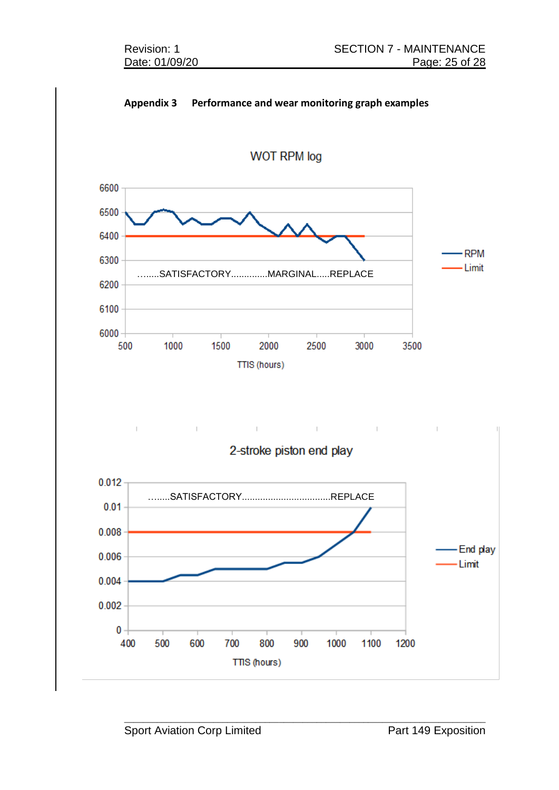$\mathbb{I}$ 

 $\perp$ 



#### **Appendix 3 Performance and wear monitoring graph examples**



the contract of the contract of the



 $\sim 10^{-1}$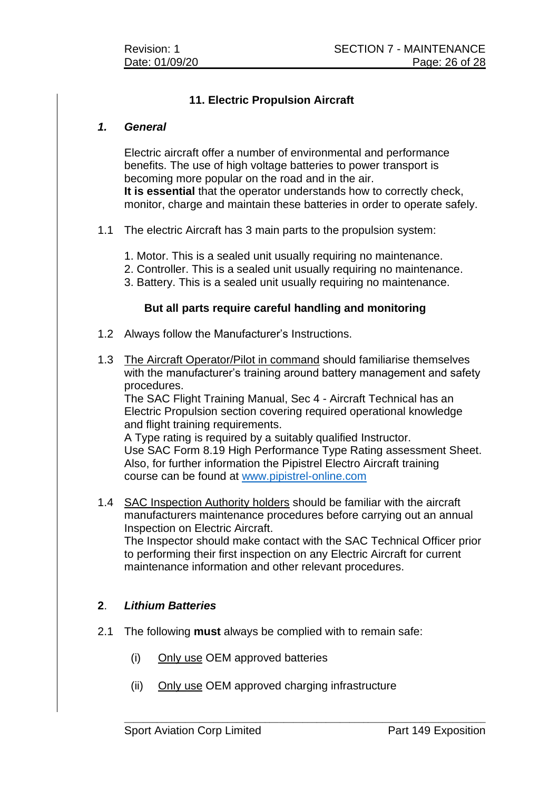# **11. Electric Propulsion Aircraft**

#### *1. General*

Electric aircraft offer a number of environmental and performance benefits. The use of high voltage batteries to power transport is becoming more popular on the road and in the air. **It is essential** that the operator understands how to correctly check, monitor, charge and maintain these batteries in order to operate safely.

- 1.1 The electric Aircraft has 3 main parts to the propulsion system:
	- 1. Motor. This is a sealed unit usually requiring no maintenance.
	- 2. Controller. This is a sealed unit usually requiring no maintenance.
	- 3. Battery. This is a sealed unit usually requiring no maintenance.

#### **But all parts require careful handling and monitoring**

- 1.2 Always follow the Manufacturer's Instructions.
- 1.3 The Aircraft Operator/Pilot in command should familiarise themselves with the manufacturer's training around battery management and safety procedures.

The SAC Flight Training Manual, Sec 4 - Aircraft Technical has an Electric Propulsion section covering required operational knowledge and flight training requirements.

A Type rating is required by a suitably qualified Instructor. Use SAC Form 8.19 High Performance Type Rating assessment Sheet. Also, for further information the Pipistrel Electro Aircraft training course can be found at [www.pipistrel-online.com](http://www.pipistrel-online.com/)

1.4 SAC Inspection Authority holders should be familiar with the aircraft manufacturers maintenance procedures before carrying out an annual Inspection on Electric Aircraft.

The Inspector should make contact with the SAC Technical Officer prior to performing their first inspection on any Electric Aircraft for current maintenance information and other relevant procedures.

## **2**. *Lithium Batteries*

- 2.1 The following **must** always be complied with to remain safe:
	- (i) Only use OEM approved batteries
	- (ii) Only use OEM approved charging infrastructure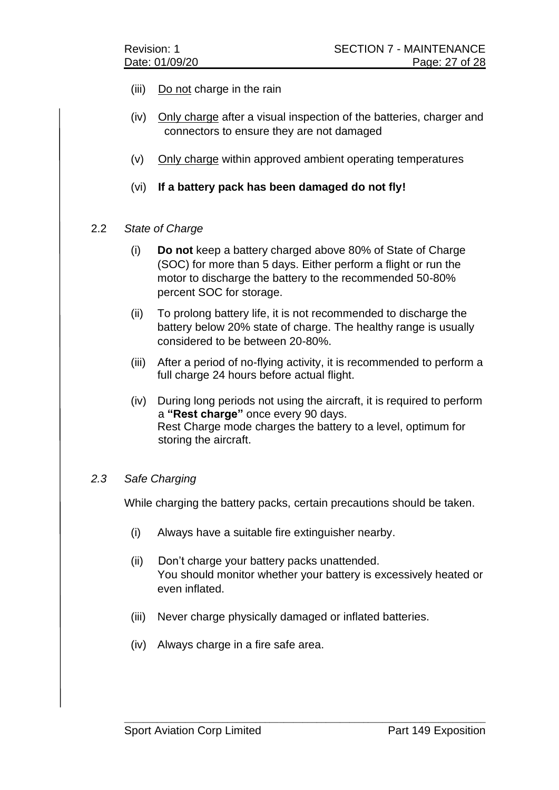- (iii) Do not charge in the rain
- (iv) Only charge after a visual inspection of the batteries, charger and connectors to ensure they are not damaged
- (v) Only charge within approved ambient operating temperatures
- (vi) **If a battery pack has been damaged do not fly!**
- 2.2 *State of Charge*
	- (i) **Do not** keep a battery charged above 80% of State of Charge (SOC) for more than 5 days. Either perform a flight or run the motor to discharge the battery to the recommended 50-80% percent SOC for storage.
	- (ii) To prolong battery life, it is not recommended to discharge the battery below 20% state of charge. The healthy range is usually considered to be between 20-80%.
	- (iii) After a period of no-flying activity, it is recommended to perform a full charge 24 hours before actual flight.
	- (iv) During long periods not using the aircraft, it is required to perform a **"Rest charge"** once every 90 days. Rest Charge mode charges the battery to a level, optimum for storing the aircraft.

#### *2.3 Safe Charging*

While charging the battery packs, certain precautions should be taken.

- (i) Always have a suitable fire extinguisher nearby.
- (ii) Don't charge your battery packs unattended. You should monitor whether your battery is excessively heated or even inflated.
- (iii) Never charge physically damaged or inflated batteries.
- (iv) Always charge in a fire safe area.